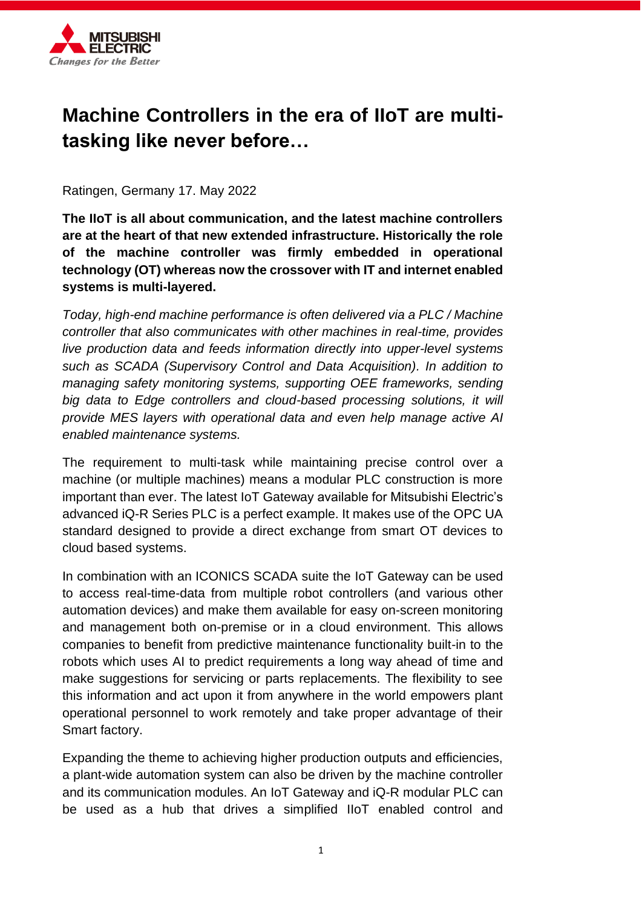

# **Machine Controllers in the era of IIoT are multitasking like never before…**

Ratingen, Germany 17. May 2022

**The IIoT is all about communication, and the latest machine controllers are at the heart of that new extended infrastructure. Historically the role of the machine controller was firmly embedded in operational technology (OT) whereas now the crossover with IT and internet enabled systems is multi-layered.** 

*Today, high-end machine performance is often delivered via a PLC / Machine controller that also communicates with other machines in real-time, provides live production data and feeds information directly into upper-level systems such as SCADA (Supervisory Control and Data Acquisition). In addition to managing safety monitoring systems, supporting OEE frameworks, sending*  big data to Edge controllers and cloud-based processing solutions, it will *provide MES layers with operational data and even help manage active AI enabled maintenance systems.*

The requirement to multi-task while maintaining precise control over a machine (or multiple machines) means a modular PLC construction is more important than ever. The latest IoT Gateway available for Mitsubishi Electric's advanced iQ-R Series PLC is a perfect example. It makes use of the OPC UA standard designed to provide a direct exchange from smart OT devices to cloud based systems.

In combination with an ICONICS SCADA suite the IoT Gateway can be used to access real-time-data from multiple robot controllers (and various other automation devices) and make them available for easy on-screen monitoring and management both on-premise or in a cloud environment. This allows companies to benefit from predictive maintenance functionality built-in to the robots which uses AI to predict requirements a long way ahead of time and make suggestions for servicing or parts replacements. The flexibility to see this information and act upon it from anywhere in the world empowers plant operational personnel to work remotely and take proper advantage of their Smart factory.

Expanding the theme to achieving higher production outputs and efficiencies, a plant-wide automation system can also be driven by the machine controller and its communication modules. An IoT Gateway and iQ-R modular PLC can be used as a hub that drives a simplified IIoT enabled control and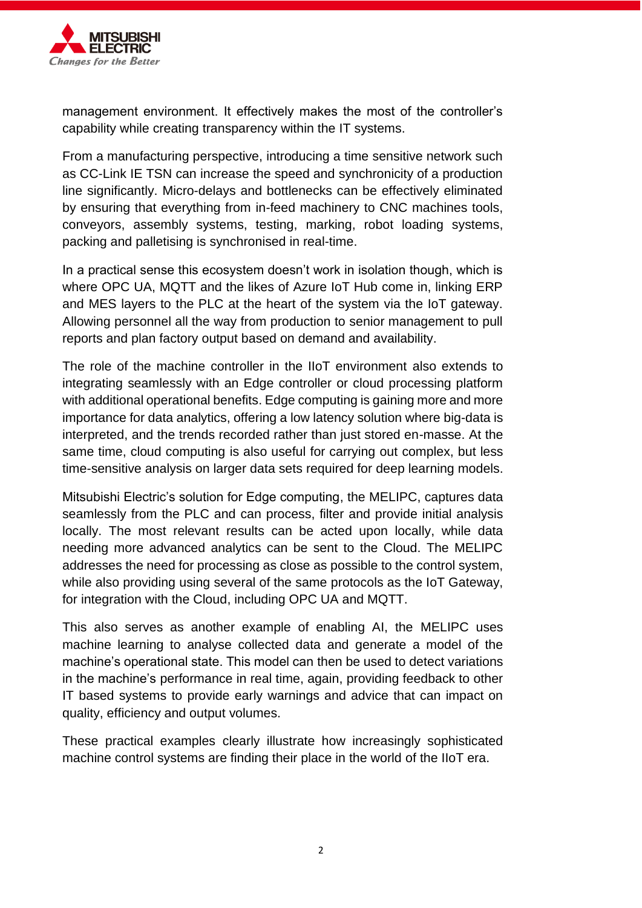

management environment. It effectively makes the most of the controller's capability while creating transparency within the IT systems.

From a manufacturing perspective, introducing a time sensitive network such as CC-Link IE TSN can increase the speed and synchronicity of a production line significantly. Micro-delays and bottlenecks can be effectively eliminated by ensuring that everything from in-feed machinery to CNC machines tools, conveyors, assembly systems, testing, marking, robot loading systems, packing and palletising is synchronised in real-time.

In a practical sense this ecosystem doesn't work in isolation though, which is where OPC UA, MQTT and the likes of Azure IoT Hub come in, linking ERP and MES layers to the PLC at the heart of the system via the IoT gateway. Allowing personnel all the way from production to senior management to pull reports and plan factory output based on demand and availability.

The role of the machine controller in the IIoT environment also extends to integrating seamlessly with an Edge controller or cloud processing platform with additional operational benefits. Edge computing is gaining more and more importance for data analytics, offering a low latency solution where big-data is interpreted, and the trends recorded rather than just stored en-masse. At the same time, cloud computing is also useful for carrying out complex, but less time-sensitive analysis on larger data sets required for deep learning models.

Mitsubishi Electric's solution for Edge computing, the MELIPC, captures data seamlessly from the PLC and can process, filter and provide initial analysis locally. The most relevant results can be acted upon locally, while data needing more advanced analytics can be sent to the Cloud. The MELIPC addresses the need for processing as close as possible to the control system, while also providing using several of the same protocols as the IoT Gateway, for integration with the Cloud, including OPC UA and MQTT.

This also serves as another example of enabling AI, the MELIPC uses machine learning to analyse collected data and generate a model of the machine's operational state. This model can then be used to detect variations in the machine's performance in real time, again, providing feedback to other IT based systems to provide early warnings and advice that can impact on quality, efficiency and output volumes.

These practical examples clearly illustrate how increasingly sophisticated machine control systems are finding their place in the world of the IIoT era.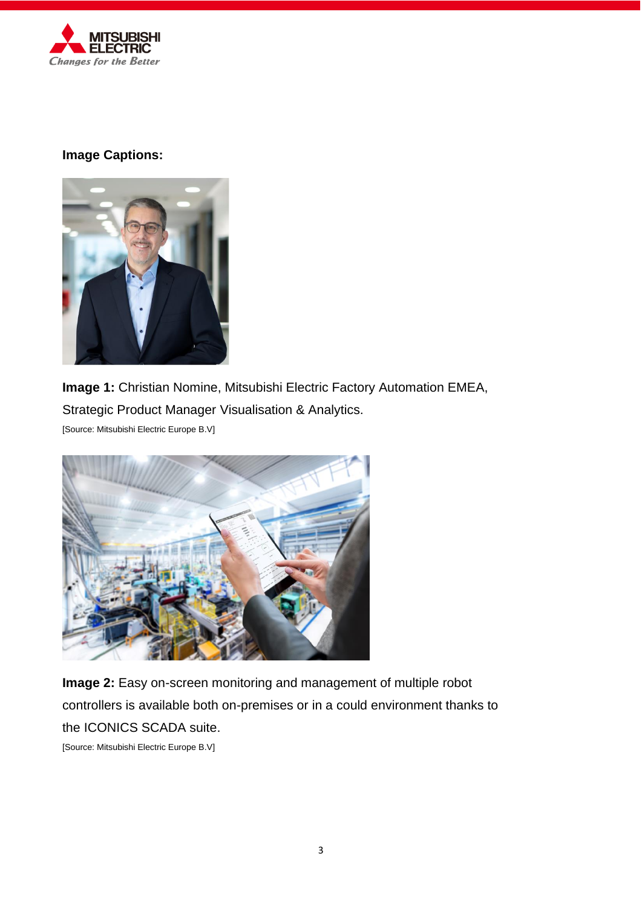

# **Image Captions:**



**Image 1:** Christian Nomine, Mitsubishi Electric Factory Automation EMEA, Strategic Product Manager Visualisation & Analytics. [Source: Mitsubishi Electric Europe B.V]



**Image 2:** Easy on-screen monitoring and management of multiple robot controllers is available both on-premises or in a could environment thanks to the ICONICS SCADA suite.

[Source: Mitsubishi Electric Europe B.V]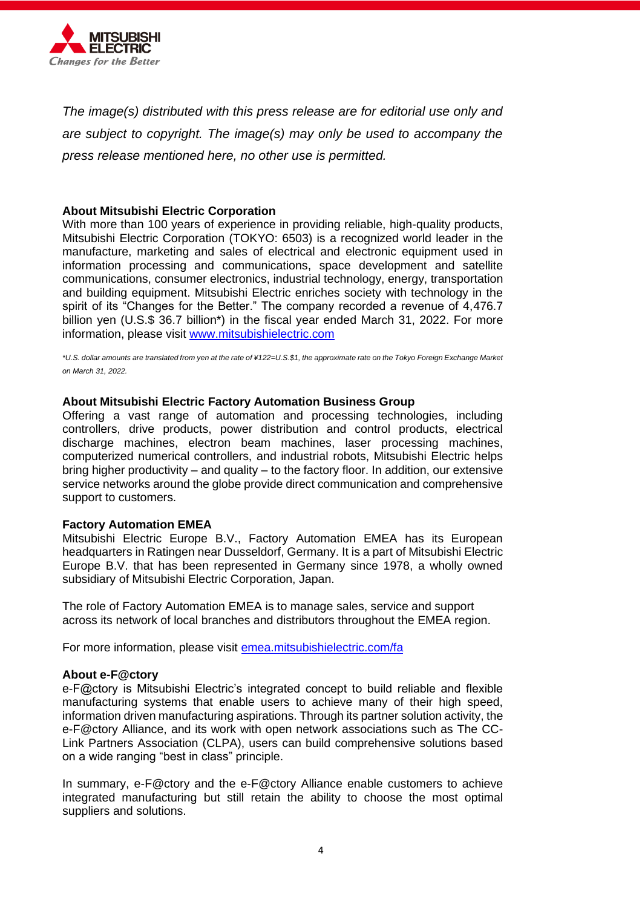

*The image(s) distributed with this press release are for editorial use only and are subject to copyright. The image(s) may only be used to accompany the press release mentioned here, no other use is permitted.*

## **About Mitsubishi Electric Corporation**

With more than 100 years of experience in providing reliable, high-quality products, Mitsubishi Electric Corporation (TOKYO: 6503) is a recognized world leader in the manufacture, marketing and sales of electrical and electronic equipment used in information processing and communications, space development and satellite communications, consumer electronics, industrial technology, energy, transportation and building equipment. Mitsubishi Electric enriches society with technology in the spirit of its "Changes for the Better." The company recorded a revenue of 4,476.7 billion yen (U.S.\$ 36.7 billion\*) in the fiscal year ended March 31, 2022. For more information, please visit [www.mitsubishielectric.com](http://www.mitsubishielectric.com/)

*\*U.S. dollar amounts are translated from yen at the rate of ¥122=U.S.\$1, the approximate rate on the Tokyo Foreign Exchange Market on March 31, 2022.* 

# **About Mitsubishi Electric Factory Automation Business Group**

Offering a vast range of automation and processing technologies, including controllers, drive products, power distribution and control products, electrical discharge machines, electron beam machines, laser processing machines, computerized numerical controllers, and industrial robots, Mitsubishi Electric helps bring higher productivity – and quality – to the factory floor. In addition, our extensive service networks around the globe provide direct communication and comprehensive support to customers.

### **Factory Automation EMEA**

Mitsubishi Electric Europe B.V., Factory Automation EMEA has its European headquarters in Ratingen near Dusseldorf, Germany. It is a part of Mitsubishi Electric Europe B.V. that has been represented in Germany since 1978, a wholly owned subsidiary of Mitsubishi Electric Corporation, Japan.

The role of Factory Automation EMEA is to manage sales, service and support across its network of local branches and distributors throughout the EMEA region.

For more information, please visit [emea.mitsubishielectric.com/fa](https://emea.mitsubishielectric.com/fa)

### **About e-F@ctory**

e-F@ctory is Mitsubishi Electric's integrated concept to build reliable and flexible manufacturing systems that enable users to achieve many of their high speed, information driven manufacturing aspirations. Through its partner solution activity, the e-F@ctory Alliance, and its work with open network associations such as The CC-Link Partners Association (CLPA), users can build comprehensive solutions based on a wide ranging "best in class" principle.

In summary, e-F@ctory and the e-F@ctory Alliance enable customers to achieve integrated manufacturing but still retain the ability to choose the most optimal suppliers and solutions.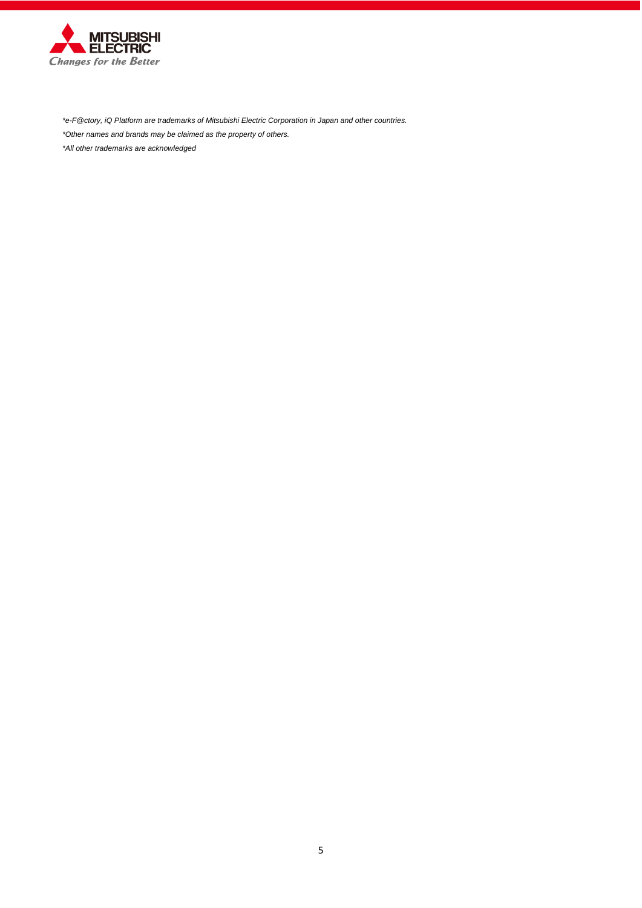

*\*e-F@ctory, iQ Platform are trademarks of Mitsubishi Electric Corporation in Japan and other countries. \*Other names and brands may be claimed as the property of others.*

*\*All other trademarks are acknowledged*